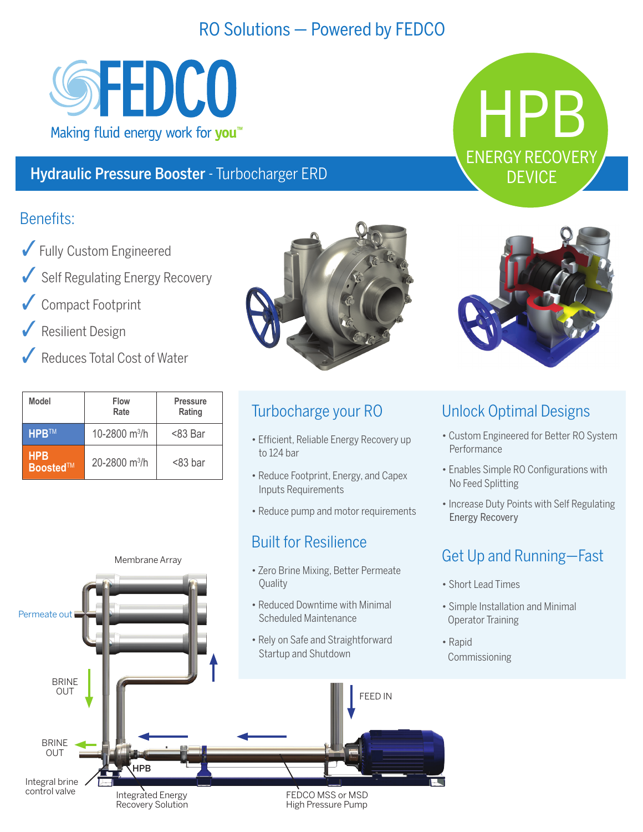# RO Solutions - Powered by FEDCO



#### Hydraulic Pressure Booster - Turbocharger ERD

#### Benefits:

- $\sqrt{\ }$  Fully Custom Engineered
- Self Regulating Energy Recovery
- Compact Footprint
- Resilient Design
- Reduces Total Cost of Water

| Model                   | Flow<br>Rate    | <b>Pressure</b><br>Rating |
|-------------------------|-----------------|---------------------------|
| <b>HPB<sub>TM</sub></b> | 10-2800 $m^3/h$ | <83 Bar                   |
| <b>HPB</b><br>Boosted™  | 20-2800 $m^3/h$ | $<$ 83 bar                |



### Turbocharge your RO

- Efficient, Reliable Energy Recovery up to 124 bar
- Reduce Footprint, Energy, and Capex **Inputs Requirements**
- Reduce pump and motor requirements

### **Built for Resilience**



HPB

**ENERGY RECOVERY DEVICE** 

#### **Unlock Optimal Designs**

- Custom Engineered for Better RO System **Performance**
- Enables Simple RO Configurations with No Feed Splitting
- Increase Duty Points with Self Regulating **Energy Recovery**

## Get Up and Running-Fast

- Short Lead Times
- Simple Installation and Minimal Operator Training
- Rapid Commissioning